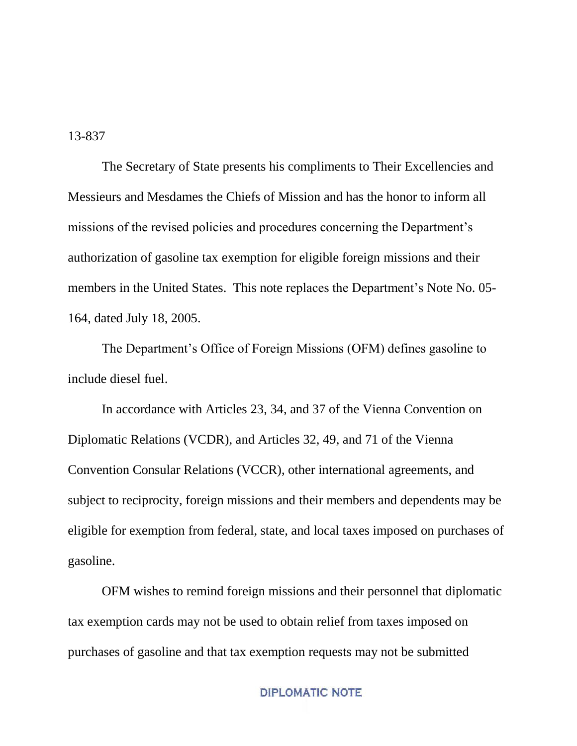13-837

The Secretary of State presents his compliments to Their Excellencies and Messieurs and Mesdames the Chiefs of Mission and has the honor to inform all missions of the revised policies and procedures concerning the Department's authorization of gasoline tax exemption for eligible foreign missions and their members in the United States. This note replaces the Department's Note No. 05- 164, dated July 18, 2005.

The Department's Office of Foreign Missions (OFM) defines gasoline to include diesel fuel.

In accordance with Articles 23, 34, and 37 of the Vienna Convention on Diplomatic Relations (VCDR), and Articles 32, 49, and 71 of the Vienna Convention Consular Relations (VCCR), other international agreements, and subject to reciprocity, foreign missions and their members and dependents may be eligible for exemption from federal, state, and local taxes imposed on purchases of gasoline.

OFM wishes to remind foreign missions and their personnel that diplomatic tax exemption cards may not be used to obtain relief from taxes imposed on purchases of gasoline and that tax exemption requests may not be submitted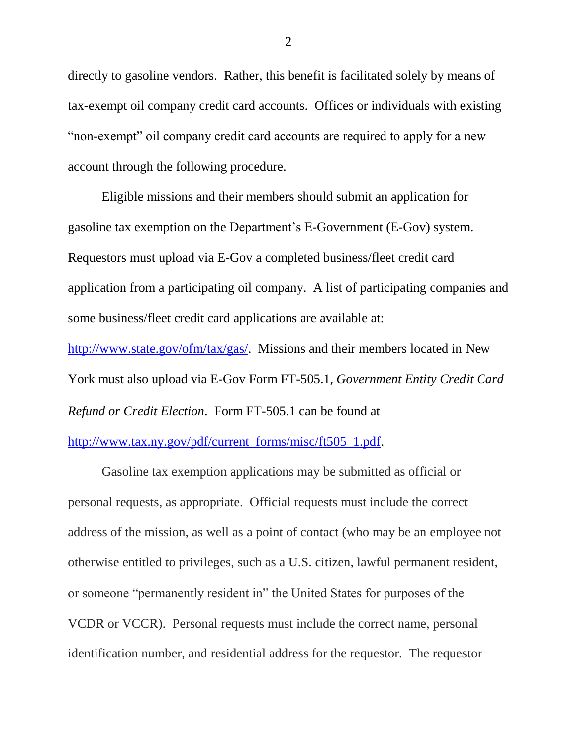directly to gasoline vendors. Rather, this benefit is facilitated solely by means of tax-exempt oil company credit card accounts. Offices or individuals with existing "non-exempt" oil company credit card accounts are required to apply for a new account through the following procedure.

Eligible missions and their members should submit an application for gasoline tax exemption on the Department's E-Government (E-Gov) system. Requestors must upload via E-Gov a completed business/fleet credit card application from a participating oil company. A list of participating companies and some business/fleet credit card applications are available at: [http://www.state.gov/ofm/tax/gas/.](http://www.state.gov/ofm/tax/gas/) Missions and their members located in New York must also upload via E-Gov Form FT-505.1, *Government Entity Credit Card* 

*Refund or Credit Election*. Form FT-505.1 can be found at

[http://www.tax.ny.gov/pdf/current\\_forms/misc/ft505\\_1.pdf.](http://www.tax.ny.gov/pdf/current_forms/misc/ft505_1.pdf)

Gasoline tax exemption applications may be submitted as official or personal requests, as appropriate. Official requests must include the correct address of the mission, as well as a point of contact (who may be an employee not otherwise entitled to privileges, such as a U.S. citizen, lawful permanent resident, or someone "permanently resident in" the United States for purposes of the VCDR or VCCR). Personal requests must include the correct name, personal identification number, and residential address for the requestor. The requestor